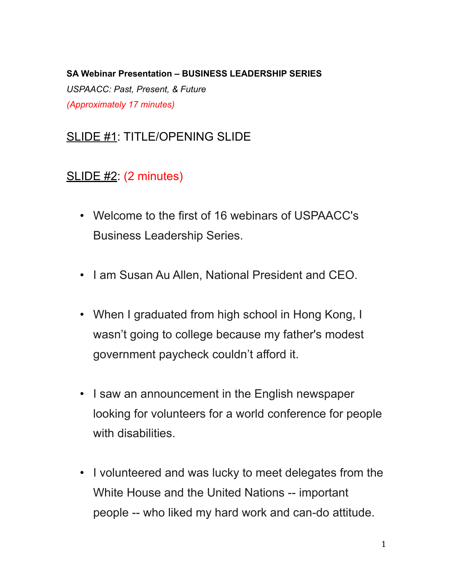#### **SA Webinar Presentation – BUSINESS LEADERSHIP SERIES**

*USPAACC: Past, Present, & Future (Approximately 17 minutes)*

# SLIDE #1: TITLE/OPENING SLIDE

### SLIDE #2: (2 minutes)

- Welcome to the first of 16 webinars of USPAACC's Business Leadership Series.
- I am Susan Au Allen, National President and CEO.
- When I graduated from high school in Hong Kong, I wasn't going to college because my father's modest government paycheck couldn't afford it.
- I saw an announcement in the English newspaper looking for volunteers for a world conference for people with disabilities.
- I volunteered and was lucky to meet delegates from the White House and the United Nations -- important people -- who liked my hard work and can-do attitude.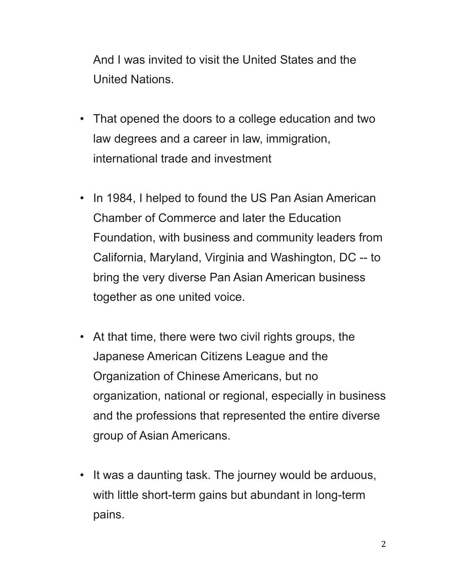And I was invited to visit the United States and the United Nations.

- That opened the doors to a college education and two law degrees and a career in law, immigration, international trade and investment
- In 1984, I helped to found the US Pan Asian American Chamber of Commerce and later the Education Foundation, with business and community leaders from California, Maryland, Virginia and Washington, DC -- to bring the very diverse Pan Asian American business together as one united voice.
- At that time, there were two civil rights groups, the Japanese American Citizens League and the Organization of Chinese Americans, but no organization, national or regional, especially in business and the professions that represented the entire diverse group of Asian Americans.
- It was a daunting task. The journey would be arduous, with little short-term gains but abundant in long-term pains.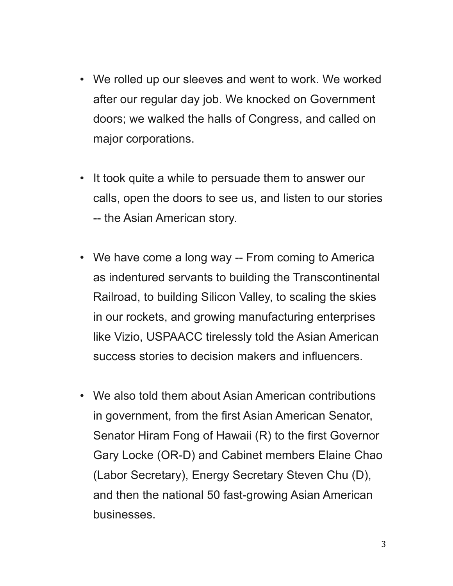- We rolled up our sleeves and went to work. We worked after our regular day job. We knocked on Government doors; we walked the halls of Congress, and called on major corporations.
- It took quite a while to persuade them to answer our calls, open the doors to see us, and listen to our stories -- the Asian American story.
- We have come a long way -- From coming to America as indentured servants to building the Transcontinental Railroad, to building Silicon Valley, to scaling the skies in our rockets, and growing manufacturing enterprises like Vizio, USPAACC tirelessly told the Asian American success stories to decision makers and influencers.
- We also told them about Asian American contributions in government, from the first Asian American Senator, Senator Hiram Fong of Hawaii (R) to the first Governor Gary Locke (OR-D) and Cabinet members Elaine Chao (Labor Secretary), Energy Secretary Steven Chu (D), and then the national 50 fast-growing Asian American businesses.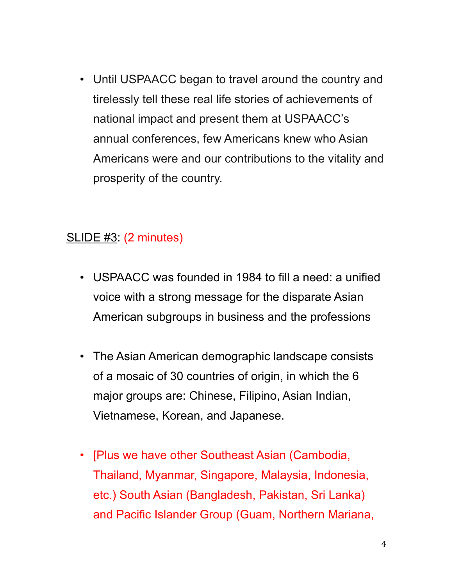• Until USPAACC began to travel around the country and tirelessly tell these real life stories of achievements of national impact and present them at USPAACC's annual conferences, few Americans knew who Asian Americans were and our contributions to the vitality and prosperity of the country.

#### SLIDE #3: (2 minutes)

- USPAACC was founded in 1984 to fill a need: a unified voice with a strong message for the disparate Asian American subgroups in business and the professions
- The Asian American demographic landscape consists of a mosaic of 30 countries of origin, in which the 6 major groups are: Chinese, Filipino, Asian Indian, Vietnamese, Korean, and Japanese.
- [Plus we have other Southeast Asian (Cambodia, Thailand, Myanmar, Singapore, Malaysia, Indonesia, etc.) South Asian (Bangladesh, Pakistan, Sri Lanka) and Pacific Islander Group (Guam, Northern Mariana,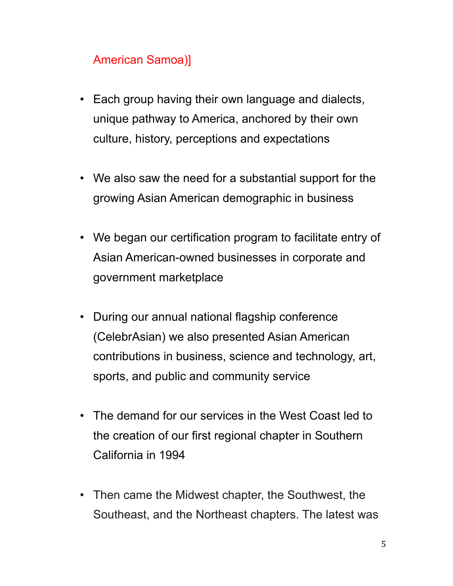# American Samoa)]

- Each group having their own language and dialects, unique pathway to America, anchored by their own culture, history, perceptions and expectations
- We also saw the need for a substantial support for the growing Asian American demographic in business
- We began our certification program to facilitate entry of Asian American-owned businesses in corporate and government marketplace
- During our annual national flagship conference (CelebrAsian) we also presented Asian American contributions in business, science and technology, art, sports, and public and community service
- The demand for our services in the West Coast led to the creation of our first regional chapter in Southern California in 1994
- Then came the Midwest chapter, the Southwest, the Southeast, and the Northeast chapters. The latest was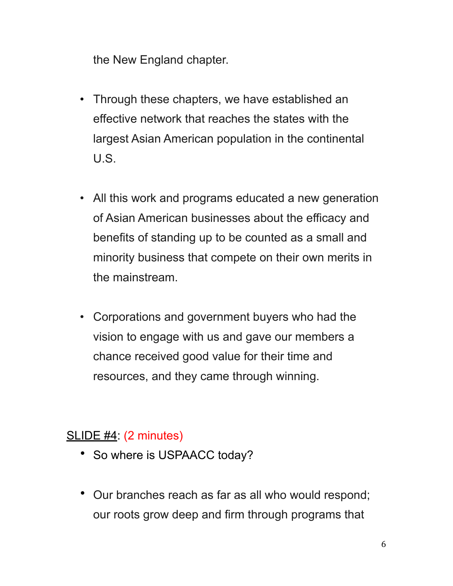the New England chapter.

- Through these chapters, we have established an effective network that reaches the states with the largest Asian American population in the continental U.S.
- All this work and programs educated a new generation of Asian American businesses about the efficacy and benefits of standing up to be counted as a small and minority business that compete on their own merits in the mainstream.
- Corporations and government buyers who had the vision to engage with us and gave our members a chance received good value for their time and resources, and they came through winning.

## SLIDE #4: (2 minutes)

- So where is USPAACC today?
- Our branches reach as far as all who would respond; our roots grow deep and firm through programs that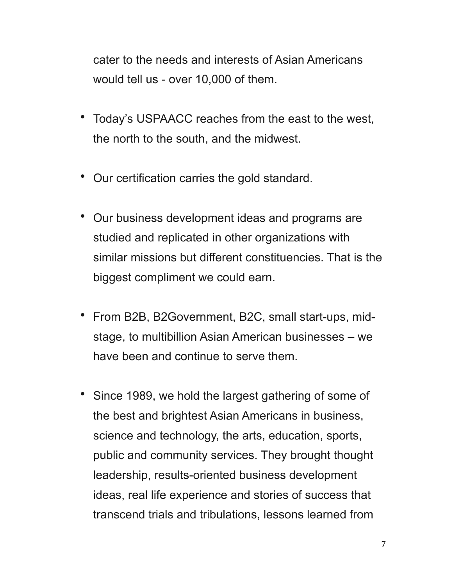cater to the needs and interests of Asian Americans would tell us - over 10,000 of them.

- Today's USPAACC reaches from the east to the west, the north to the south, and the midwest.
- Our certification carries the gold standard.
- Our business development ideas and programs are studied and replicated in other organizations with similar missions but different constituencies. That is the biggest compliment we could earn.
- From B2B, B2Government, B2C, small start-ups, midstage, to multibillion Asian American businesses – we have been and continue to serve them.
- Since 1989, we hold the largest gathering of some of the best and brightest Asian Americans in business, science and technology, the arts, education, sports, public and community services. They brought thought leadership, results-oriented business development ideas, real life experience and stories of success that transcend trials and tribulations, lessons learned from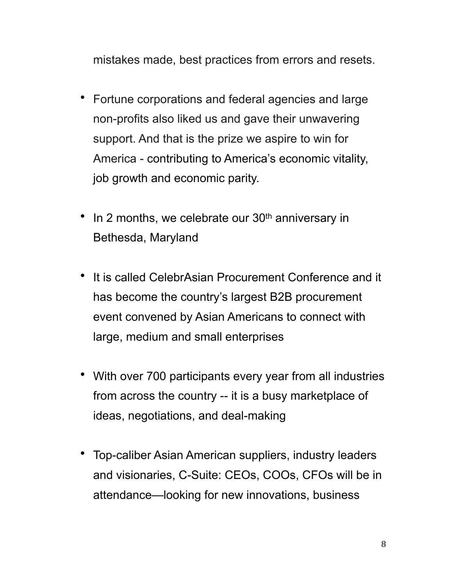mistakes made, best practices from errors and resets.

- Fortune corporations and federal agencies and large non-profits also liked us and gave their unwavering support. And that is the prize we aspire to win for America - contributing to America's economic vitality, job growth and economic parity.
- In 2 months, we celebrate our 30<sup>th</sup> anniversary in Bethesda, Maryland
- It is called CelebrAsian Procurement Conference and it has become the country's largest B2B procurement event convened by Asian Americans to connect with large, medium and small enterprises
- With over 700 participants every year from all industries from across the country -- it is a busy marketplace of ideas, negotiations, and deal-making
- Top-caliber Asian American suppliers, industry leaders and visionaries, C-Suite: CEOs, COOs, CFOs will be in attendance—looking for new innovations, business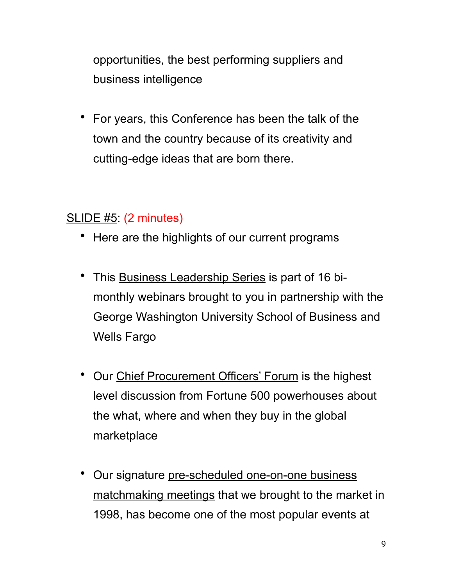opportunities, the best performing suppliers and business intelligence

• For years, this Conference has been the talk of the town and the country because of its creativity and cutting-edge ideas that are born there.

## SLIDE #5: (2 minutes)

- Here are the highlights of our current programs
- This Business Leadership Series is part of 16 bimonthly webinars brought to you in partnership with the George Washington University School of Business and Wells Fargo
- Our Chief Procurement Officers' Forum is the highest level discussion from Fortune 500 powerhouses about the what, where and when they buy in the global marketplace
- Our signature pre-scheduled one-on-one business matchmaking meetings that we brought to the market in 1998, has become one of the most popular events at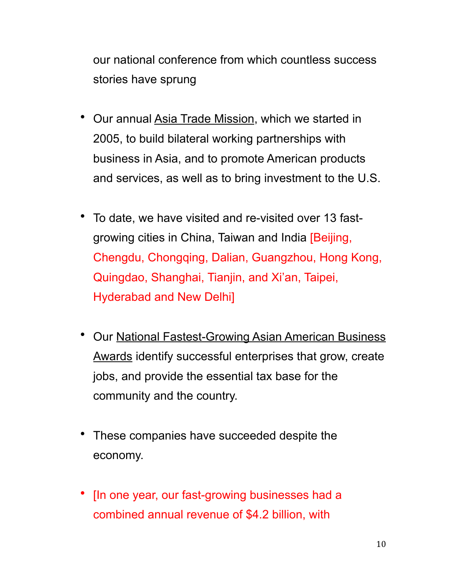our national conference from which countless success stories have sprung

- Our annual Asia Trade Mission, which we started in 2005, to build bilateral working partnerships with business in Asia, and to promote American products and services, as well as to bring investment to the U.S.
- To date, we have visited and re-visited over 13 fastgrowing cities in China, Taiwan and India [Beijing, Chengdu, Chongqing, Dalian, Guangzhou, Hong Kong, Quingdao, Shanghai, Tianjin, and Xi'an, Taipei, Hyderabad and New Delhi]
- Our National Fastest-Growing Asian American Business Awards identify successful enterprises that grow, create jobs, and provide the essential tax base for the community and the country.
- These companies have succeeded despite the economy.
- [In one year, our fast-growing businesses had a combined annual revenue of \$4.2 billion, with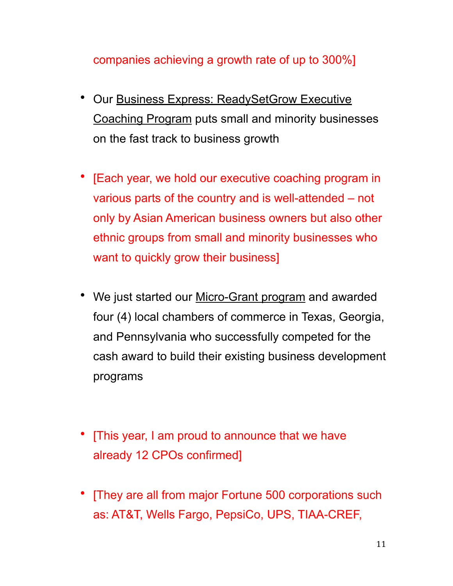#### companies achieving a growth rate of up to 300%]

- Our Business Express: ReadySetGrow Executive Coaching Program puts small and minority businesses on the fast track to business growth
- [Each year, we hold our executive coaching program in various parts of the country and is well-attended – not only by Asian American business owners but also other ethnic groups from small and minority businesses who want to quickly grow their business]
- We just started our Micro-Grant program and awarded four (4) local chambers of commerce in Texas, Georgia, and Pennsylvania who successfully competed for the cash award to build their existing business development programs
- [This year, I am proud to announce that we have already 12 CPOs confirmed]
- [They are all from major Fortune 500 corporations such as: AT&T, Wells Fargo, PepsiCo, UPS, TIAA-CREF,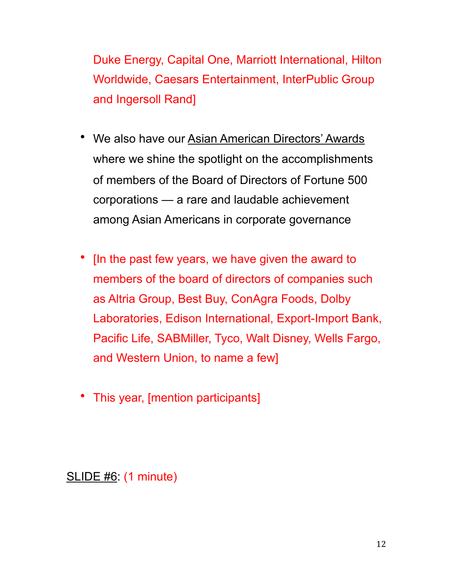Duke Energy, Capital One, Marriott International, Hilton Worldwide, Caesars Entertainment, InterPublic Group and Ingersoll Rand]

- We also have our Asian American Directors' Awards where we shine the spotlight on the accomplishments of members of the Board of Directors of Fortune 500 corporations — a rare and laudable achievement among Asian Americans in corporate governance
- [In the past few years, we have given the award to members of the board of directors of companies such as Altria Group, Best Buy, ConAgra Foods, Dolby Laboratories, Edison International, Export-Import Bank, Pacific Life, SABMiller, Tyco, Walt Disney, Wells Fargo, and Western Union, to name a few]
- This year, [mention participants]

SLIDE #6: (1 minute)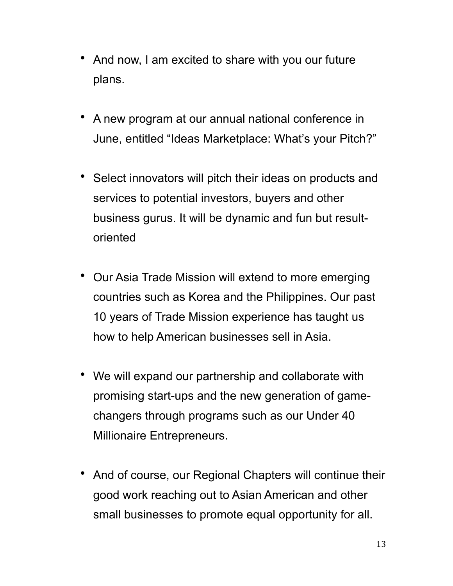- And now, I am excited to share with you our future plans.
- A new program at our annual national conference in June, entitled "Ideas Marketplace: What's your Pitch?"
- Select innovators will pitch their ideas on products and services to potential investors, buyers and other business gurus. It will be dynamic and fun but resultoriented
- Our Asia Trade Mission will extend to more emerging countries such as Korea and the Philippines. Our past 10 years of Trade Mission experience has taught us how to help American businesses sell in Asia.
- We will expand our partnership and collaborate with promising start-ups and the new generation of gamechangers through programs such as our Under 40 Millionaire Entrepreneurs.
- And of course, our Regional Chapters will continue their good work reaching out to Asian American and other small businesses to promote equal opportunity for all.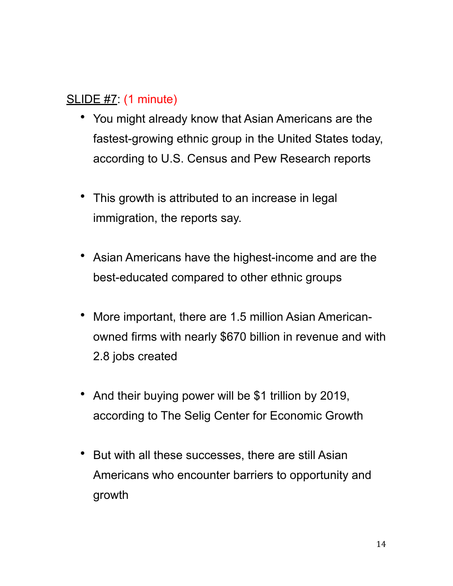# SLIDE #7: (1 minute)

- You might already know that Asian Americans are the fastest-growing ethnic group in the United States today, according to U.S. Census and Pew Research reports
- This growth is attributed to an increase in legal immigration, the reports say.
- Asian Americans have the highest-income and are the best-educated compared to other ethnic groups
- More important, there are 1.5 million Asian Americanowned firms with nearly \$670 billion in revenue and with 2.8 jobs created
- And their buying power will be \$1 trillion by 2019, according to The Selig Center for Economic Growth
- But with all these successes, there are still Asian Americans who encounter barriers to opportunity and growth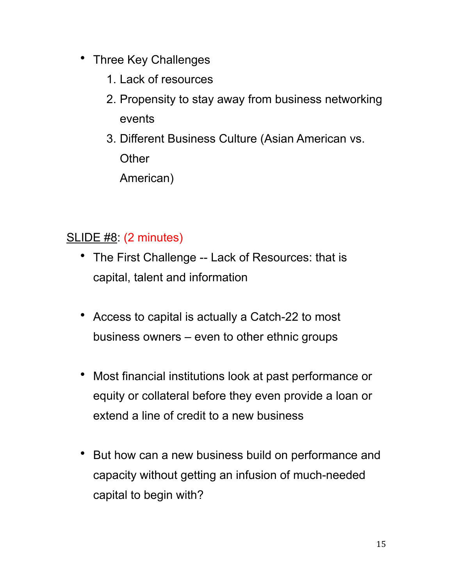- Three Key Challenges
	- 1. Lack of resources
	- 2. Propensity to stay away from business networking events
	- 3. Different Business Culture (Asian American vs. **Other** American)

# SLIDE #8: (2 minutes)

- The First Challenge -- Lack of Resources: that is capital, talent and information
- Access to capital is actually a Catch-22 to most business owners – even to other ethnic groups
- Most financial institutions look at past performance or equity or collateral before they even provide a loan or extend a line of credit to a new business
- But how can a new business build on performance and capacity without getting an infusion of much-needed capital to begin with?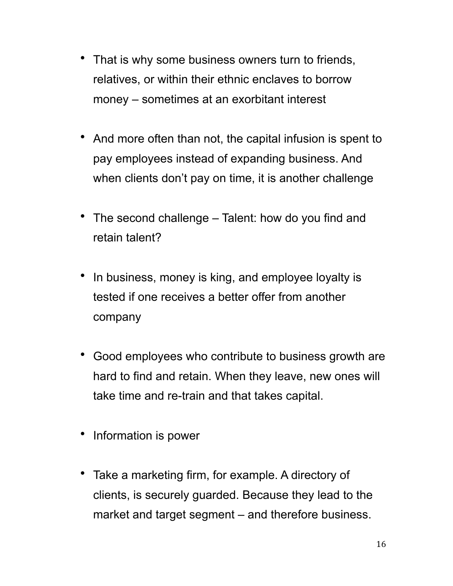- That is why some business owners turn to friends, relatives, or within their ethnic enclaves to borrow money – sometimes at an exorbitant interest
- And more often than not, the capital infusion is spent to pay employees instead of expanding business. And when clients don't pay on time, it is another challenge
- The second challenge Talent: how do you find and retain talent?
- In business, money is king, and employee loyalty is tested if one receives a better offer from another company
- Good employees who contribute to business growth are hard to find and retain. When they leave, new ones will take time and re-train and that takes capital.
- Information is power
- Take a marketing firm, for example. A directory of clients, is securely guarded. Because they lead to the market and target segment – and therefore business.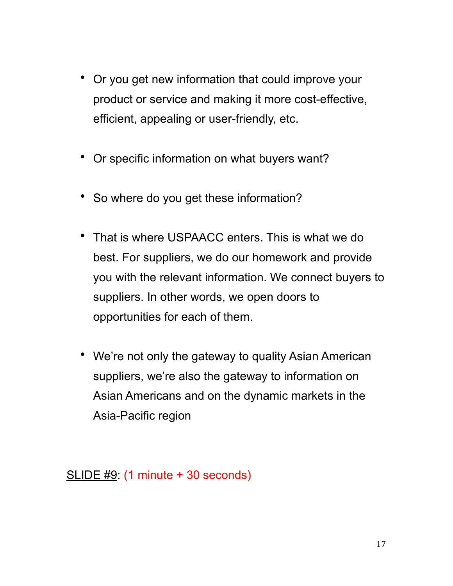- Or you get new information that could improve your product or service and making it more cost-effective, efficient, appealing or user-friendly, etc.
- Or specific information on what buyers want?
- So where do you get these information?
- That is where USPAACC enters. This is what we do best. For suppliers, we do our homework and provide you with the relevant information. We connect buyers to suppliers. In other words, we open doors to opportunities for each of them.
- We're not only the gateway to quality Asian American suppliers, we're also the gateway to information on Asian Americans and on the dynamic markets in the Asia-Pacific region

SLIDE #9: (1 minute + 30 seconds)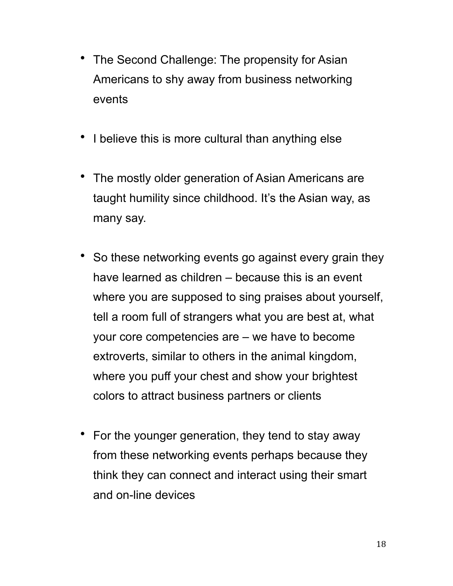- The Second Challenge: The propensity for Asian Americans to shy away from business networking events
- I believe this is more cultural than anything else
- The mostly older generation of Asian Americans are taught humility since childhood. It's the Asian way, as many say.
- So these networking events go against every grain they have learned as children – because this is an event where you are supposed to sing praises about yourself, tell a room full of strangers what you are best at, what your core competencies are – we have to become extroverts, similar to others in the animal kingdom, where you puff your chest and show your brightest colors to attract business partners or clients
- For the younger generation, they tend to stay away from these networking events perhaps because they think they can connect and interact using their smart and on-line devices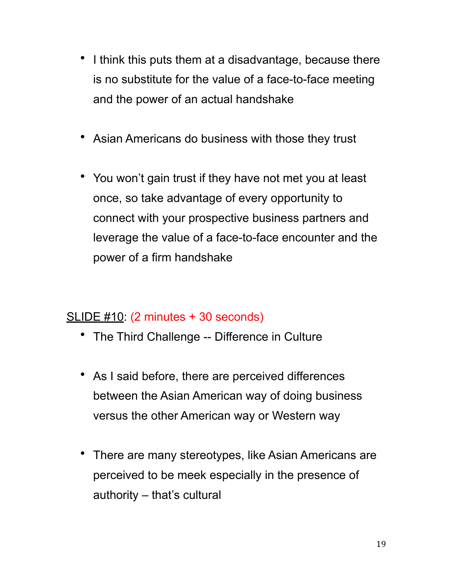- I think this puts them at a disadvantage, because there is no substitute for the value of a face-to-face meeting and the power of an actual handshake
- Asian Americans do business with those they trust
- You won't gain trust if they have not met you at least once, so take advantage of every opportunity to connect with your prospective business partners and leverage the value of a face-to-face encounter and the power of a firm handshake

#### SLIDE #10: (2 minutes + 30 seconds)

- The Third Challenge -- Difference in Culture
- As I said before, there are perceived differences between the Asian American way of doing business versus the other American way or Western way
- There are many stereotypes, like Asian Americans are perceived to be meek especially in the presence of authority – that's cultural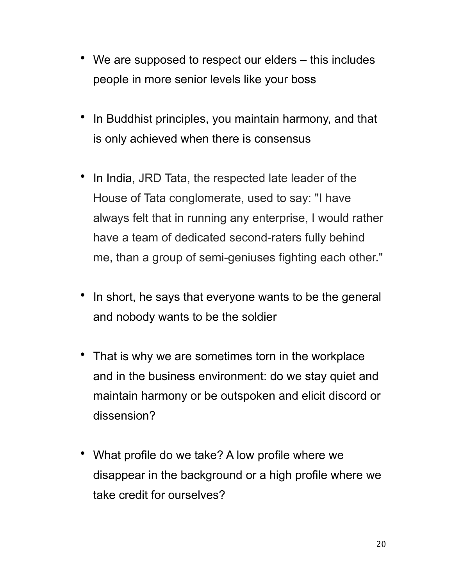- We are supposed to respect our elders this includes people in more senior levels like your boss
- In Buddhist principles, you maintain harmony, and that is only achieved when there is consensus
- In India, JRD Tata, the respected late leader of the House of Tata conglomerate, used to say: "I have always felt that in running any enterprise, I would rather have a team of dedicated second-raters fully behind me, than a group of semi-geniuses fighting each other."
- In short, he says that everyone wants to be the general and nobody wants to be the soldier
- That is why we are sometimes torn in the workplace and in the business environment: do we stay quiet and maintain harmony or be outspoken and elicit discord or dissension?
- What profile do we take? A low profile where we disappear in the background or a high profile where we take credit for ourselves?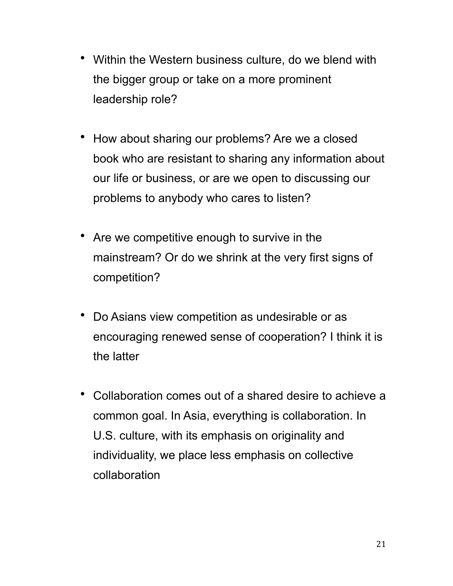- Within the Western business culture, do we blend with the bigger group or take on a more prominent leadership role?
- How about sharing our problems? Are we a closed book who are resistant to sharing any information about our life or business, or are we open to discussing our problems to anybody who cares to listen?
- Are we competitive enough to survive in the mainstream? Or do we shrink at the very first signs of competition?
- Do Asians view competition as undesirable or as encouraging renewed sense of cooperation? I think it is the latter
- Collaboration comes out of a shared desire to achieve a common goal. In Asia, everything is collaboration. In U.S. culture, with its emphasis on originality and individuality, we place less emphasis on collective collaboration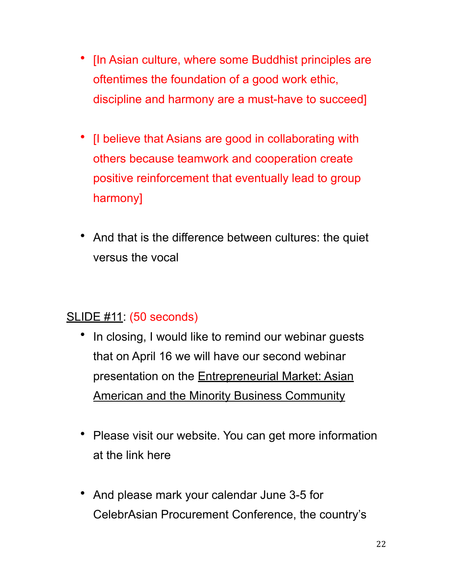- [In Asian culture, where some Buddhist principles are oftentimes the foundation of a good work ethic, discipline and harmony are a must-have to succeed]
- [I believe that Asians are good in collaborating with others because teamwork and cooperation create positive reinforcement that eventually lead to group harmony]
- And that is the difference between cultures: the quiet versus the vocal

## SLIDE #11: (50 seconds)

- In closing, I would like to remind our webinar guests that on April 16 we will have our second webinar presentation on the **Entrepreneurial Market: Asian** American and the Minority Business Community
- Please visit our website. You can get more information at the link here
- And please mark your calendar June 3-5 for CelebrAsian Procurement Conference, the country's